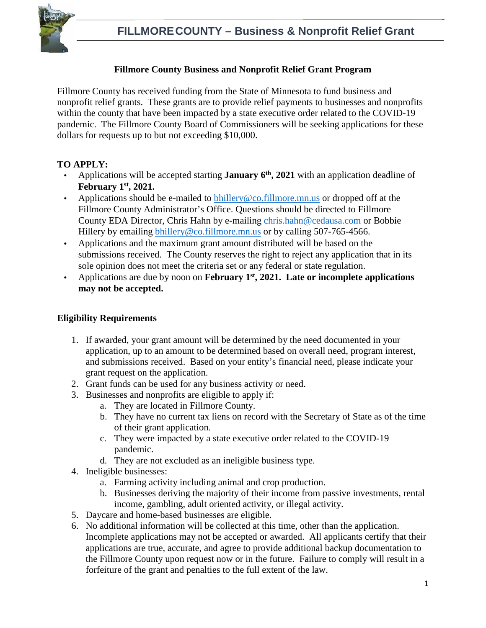

#### **Fillmore County Business and Nonprofit Relief Grant Program**

Fillmore County has received funding from the State of Minnesota to fund business and nonprofit relief grants. These grants are to provide relief payments to businesses and nonprofits within the county that have been impacted by a state executive order related to the COVID-19 pandemic. The Fillmore County Board of Commissioners will be seeking applications for these dollars for requests up to but not exceeding \$10,000.

#### **TO APPLY:**

- Applications will be accepted starting **January 6<sup>th</sup>**, 2021 with an application deadline of **February 1st, 2021.**
- Applications should be e-mailed to  $\frac{b \cdot h}{c}$  co.fillmore.mn.us or dropped off at the Fillmore County Administrator's Office. Questions should be directed to Fillmore County EDA Director, Chris Hahn by e-mailing chris.hahn@cedausa.com or Bobbie Hillery by emailing bhillery@co.fillmore.mn.us or by calling 507-765-4566.
- Applications and the maximum grant amount distributed will be based on the submissions received. The County reserves the right to reject any application that in its sole opinion does not meet the criteria set or any federal or state regulation.
- Applications are due by noon on **February 1st, 2021. Late or incomplete applications may not be accepted.**

#### **Eligibility Requirements**

- 1. If awarded, your grant amount will be determined by the need documented in your application, up to an amount to be determined based on overall need, program interest, and submissions received. Based on your entity's financial need, please indicate your grant request on the application.
- 2. Grant funds can be used for any business activity or need.
- 3. Businesses and nonprofits are eligible to apply if:
	- a. They are located in Fillmore County.
	- b. They have no current tax liens on record with the Secretary of State as of the time of their grant application.
	- c. They were impacted by a state executive order related to the COVID-19 pandemic.
	- d. They are not excluded as an ineligible business type.
- 4. Ineligible businesses:
	- a. Farming activity including animal and crop production.
	- b. Businesses deriving the majority of their income from passive investments, rental income, gambling, adult oriented activity, or illegal activity.
- 5. Daycare and home-based businesses are eligible.
- 6. No additional information will be collected at this time, other than the application. Incomplete applications may not be accepted or awarded. All applicants certify that their applications are true, accurate, and agree to provide additional backup documentation to the Fillmore County upon request now or in the future. Failure to comply will result in a forfeiture of the grant and penalties to the full extent of the law.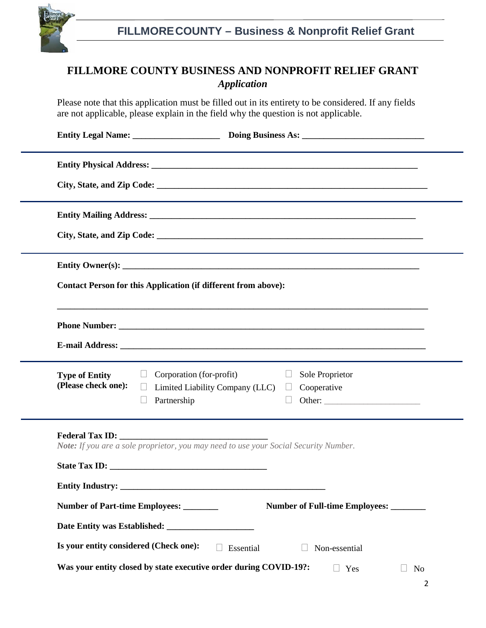

## **FILLMORE COUNTY BUSINESS AND NONPROFIT RELIEF GRANT** *Application*

Please note that this application must be filled out in its entirety to be considered. If any fields are not applicable, please explain in the field why the question is not applicable.

| Contact Person for this Application (if different from above):                                                                                                                                                                 |                                                                                                                          |
|--------------------------------------------------------------------------------------------------------------------------------------------------------------------------------------------------------------------------------|--------------------------------------------------------------------------------------------------------------------------|
|                                                                                                                                                                                                                                |                                                                                                                          |
| $\Box$<br><b>Type of Entity</b><br>(Please check one):<br>$\Box$<br>Partnership                                                                                                                                                | Corporation (for-profit)<br>Sole Proprietor<br>$\Box$<br>Limited Liability Company (LLC) $\Box$<br>Cooperative<br>Other: |
| Federal Tax ID: Note that the set of the set of the set of the set of the set of the set of the set of the set of the set of the set of the set of the set of the set of the set of the set of the set of the set of the set o | Note: If you are a sole proprietor, you may need to use your Social Security Number.                                     |
| Number of Part-time Employees: _______                                                                                                                                                                                         | Number of Full-time Employees: _______                                                                                   |
| Is your entity considered (Check one):                                                                                                                                                                                         | Essential<br>Non-essential<br>Was your entity closed by state executive order during COVID-19?:<br>$\Box$ Yes<br>No      |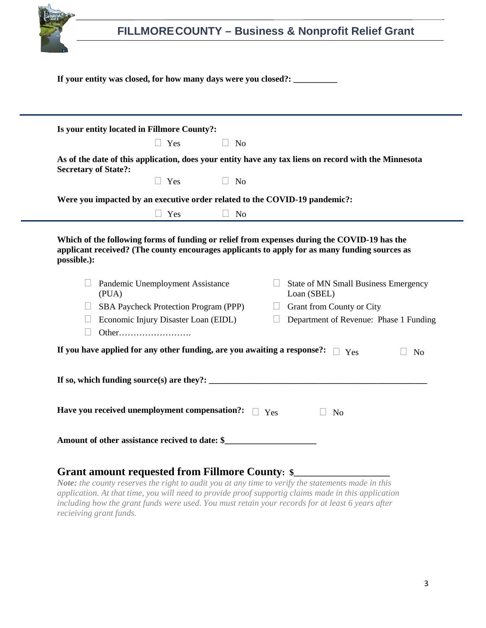

### **Grant amount requested from Fillmore County: \$\_\_\_\_\_\_\_\_\_\_\_\_\_\_\_\_\_\_\_\_\_\_**

*Note: the county reserves the right to audit you at any time to verify the statements made in this application. At that time, you will need to provide proof supportig claims made in this application including how the grant funds were used. You must retain your records for at least 6 years after recieiving grant funds.*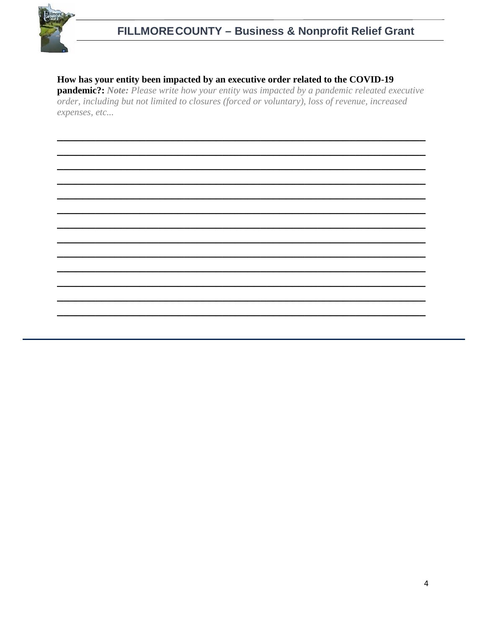

# FILLMORE COUNTY - Business & Nonprofit Relief Grant

### How has your entity been impacted by an executive order related to the COVID-19

pandemic?: Note: Please write how your entity was impacted by a pandemic releated executive order, including but not limited to closures (forced or voluntary), loss of revenue, increased expenses, etc...